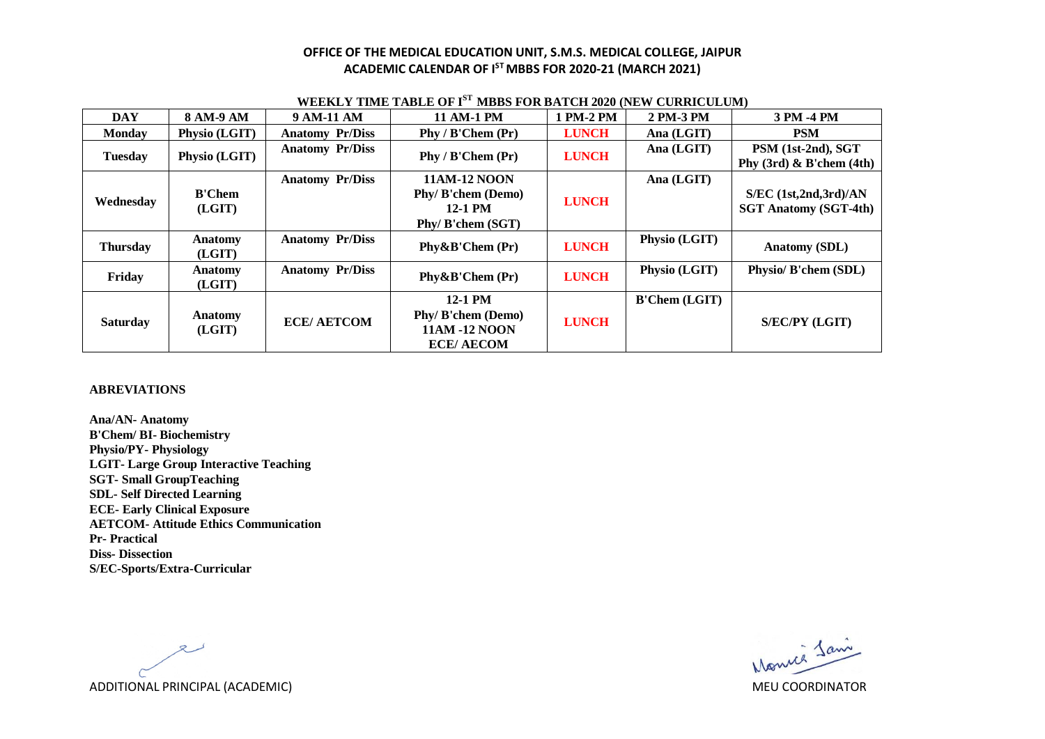| <b>DAY</b>      | <b>8 AM-9 AM</b>        | 9 AM-11 AM             | 11 AM-1 PM                                                                | 1 PM-2 PM    | 2 PM-3 PM            | 3 PM -4 PM                                              |
|-----------------|-------------------------|------------------------|---------------------------------------------------------------------------|--------------|----------------------|---------------------------------------------------------|
| <b>Monday</b>   | Physio (LGIT)           | <b>Anatomy Pr/Diss</b> | Phy / B'Chem (Pr)                                                         | <b>LUNCH</b> | Ana (LGIT)           | <b>PSM</b>                                              |
| <b>Tuesday</b>  | Physio (LGIT)           | <b>Anatomy Pr/Diss</b> | Phy / B'Chem (Pr)                                                         | <b>LUNCH</b> | Ana (LGIT)           | PSM (1st-2nd), SGT<br>Phy $(3rd)$ & B'chem $(4th)$      |
| Wednesday       | <b>B'Chem</b><br>(LGIT) | <b>Anatomy Pr/Diss</b> | <b>11AM-12 NOON</b><br>Phy/ B'chem (Demo)<br>12-1 PM<br>Phy/ B'chem (SGT) | <b>LUNCH</b> | Ana (LGIT)           | $S/EC$ (1st,2nd,3rd)/AN<br><b>SGT Anatomy (SGT-4th)</b> |
| <b>Thursday</b> | Anatomy<br>(LGIT)       | <b>Anatomy Pr/Diss</b> | PhysB'Chem (Pr)                                                           | <b>LUNCH</b> | Physio (LGIT)        | <b>Anatomy (SDL)</b>                                    |
| Friday          | Anatomy<br>(LGIT)       | <b>Anatomy Pr/Diss</b> | PhysB'Chem (Pr)                                                           | <b>LUNCH</b> | Physio (LGIT)        | Physio/ B'chem (SDL)                                    |
| <b>Saturday</b> | Anatomy<br>(LGIT)       | <b>ECE/AETCOM</b>      | 12-1 PM<br>Phy/ B'chem (Demo)<br><b>11AM -12 NOON</b><br><b>ECE/AECOM</b> | <b>LUNCH</b> | <b>B'Chem (LGIT)</b> | <b>S/EC/PY (LGIT)</b>                                   |

# **WEEKLY TIME TABLE OF IST MBBS FOR BATCH 2020 (NEW CURRICULUM)**

#### **ABREVIATIONS**

**Ana/AN- Anatomy B'Chem/ BI- Biochemistry Physio/PY- Physiology LGIT- Large Group Interactive Teaching SGT- Small GroupTeaching SDL- Self Directed Learning ECE- Early Clinical Exposure AETCOM- Attitude Ethics Communication Pr- Practical Diss- Dissection S/EC-Sports/Extra-Curricular**

ADDITIONAL PRINCIPAL (ACADEMIC) AND ANNOUNCED AND ANNOUNCED MEU COORDINATOR

Monice Jani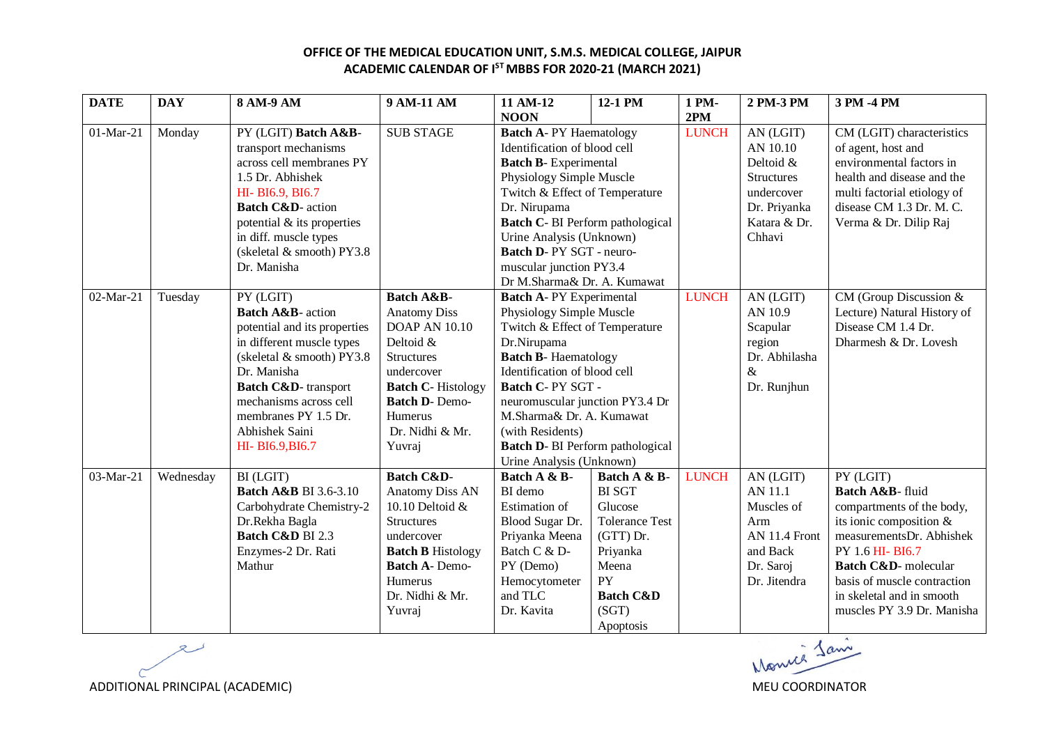| <b>DATE</b> | <b>DAY</b> | <b>8 AM-9 AM</b>                 | 9 AM-11 AM               | 11 AM-12                         | 12-1 PM               | 1 PM-        | 2 PM-3 PM         | 3 PM -4 PM                  |
|-------------|------------|----------------------------------|--------------------------|----------------------------------|-----------------------|--------------|-------------------|-----------------------------|
|             |            |                                  |                          | <b>NOON</b>                      |                       | 2PM          |                   |                             |
| 01-Mar-21   | Monday     | PY (LGIT) Batch A&B-             | <b>SUB STAGE</b>         | <b>Batch A-PY Haematology</b>    |                       | <b>LUNCH</b> | AN (LGIT)         | CM (LGIT) characteristics   |
|             |            | transport mechanisms             |                          | Identification of blood cell     |                       |              | AN 10.10          | of agent, host and          |
|             |            | across cell membranes PY         |                          | <b>Batch B-</b> Experimental     |                       |              | Deltoid &         | environmental factors in    |
|             |            | 1.5 Dr. Abhishek                 |                          | Physiology Simple Muscle         |                       |              | <b>Structures</b> | health and disease and the  |
|             |            | HI- BI6.9, BI6.7                 |                          | Twitch & Effect of Temperature   |                       |              | undercover        | multi factorial etiology of |
|             |            | <b>Batch C&amp;D</b> -action     |                          | Dr. Nirupama                     |                       |              | Dr. Priyanka      | disease CM 1.3 Dr. M. C.    |
|             |            | potential & its properties       |                          | Batch C- BI Perform pathological |                       |              | Katara & Dr.      | Verma & Dr. Dilip Raj       |
|             |            | in diff. muscle types            |                          | Urine Analysis (Unknown)         |                       |              | Chhavi            |                             |
|             |            | (skeletal & smooth) PY3.8        |                          | Batch D- PY SGT - neuro-         |                       |              |                   |                             |
|             |            | Dr. Manisha                      |                          | muscular junction PY3.4          |                       |              |                   |                             |
|             |            |                                  |                          | Dr M.Sharma& Dr. A. Kumawat      |                       |              |                   |                             |
| 02-Mar-21   | Tuesday    | PY (LGIT)                        | <b>Batch A&amp;B-</b>    | <b>Batch A-PY Experimental</b>   |                       | <b>LUNCH</b> | AN (LGIT)         | CM (Group Discussion &      |
|             |            | Batch A&B-action                 | <b>Anatomy Diss</b>      | Physiology Simple Muscle         |                       |              | AN 10.9           | Lecture) Natural History of |
|             |            | potential and its properties     | <b>DOAP AN 10.10</b>     | Twitch & Effect of Temperature   |                       |              | Scapular          | Disease CM 1.4 Dr.          |
|             |            | in different muscle types        | Deltoid &                | Dr.Nirupama                      |                       |              | region            | Dharmesh & Dr. Lovesh       |
|             |            | (skeletal & smooth) PY3.8        | <b>Structures</b>        | <b>Batch B-</b> Haematology      |                       |              | Dr. Abhilasha     |                             |
|             |            | Dr. Manisha                      | undercover               | Identification of blood cell     |                       |              | $\&$              |                             |
|             |            | Batch C&D-transport              | <b>Batch C-Histology</b> | Batch C-PY SGT -                 |                       |              | Dr. Runjhun       |                             |
|             |            | mechanisms across cell           | <b>Batch D-Demo-</b>     | neuromuscular junction PY3.4 Dr  |                       |              |                   |                             |
|             |            | membranes PY 1.5 Dr.             | Humerus                  | M.Sharma& Dr. A. Kumawat         |                       |              |                   |                             |
|             |            | Abhishek Saini                   | Dr. Nidhi & Mr.          | (with Residents)                 |                       |              |                   |                             |
|             |            | HI-BI6.9, BI6.7                  | Yuvraj                   | Batch D- BI Perform pathological |                       |              |                   |                             |
|             |            |                                  |                          | Urine Analysis (Unknown)         |                       |              |                   |                             |
| 03-Mar-21   | Wednesday  | BI (LGIT)                        | <b>Batch C&amp;D-</b>    | Batch A & B-                     | Batch A & B-          | <b>LUNCH</b> | AN (LGIT)         | PY (LGIT)                   |
|             |            | <b>Batch A&amp;B BI 3.6-3.10</b> | Anatomy Diss AN          | BI demo                          | <b>BI SGT</b>         |              | AN 11.1           | Batch A&B-fluid             |
|             |            | Carbohydrate Chemistry-2         | 10.10 Deltoid $&$        | <b>Estimation</b> of             | Glucose               |              | Muscles of        | compartments of the body,   |
|             |            | Dr.Rekha Bagla                   | <b>Structures</b>        | Blood Sugar Dr.                  | <b>Tolerance Test</b> |              | Arm               | its ionic composition &     |
|             |            | <b>Batch C&amp;D BI 2.3</b>      | undercover               | Priyanka Meena                   | (GTT) Dr.             |              | AN 11.4 Front     | measurementsDr. Abhishek    |
|             |            | Enzymes-2 Dr. Rati               | <b>Batch B Histology</b> | Batch C & D-                     | Priyanka              |              | and Back          | PY 1.6 HI-BI6.7             |
|             |            | Mathur                           | <b>Batch A- Demo-</b>    | PY (Demo)                        | Meena                 |              | Dr. Saroj         | Batch C&D- molecular        |
|             |            |                                  | Humerus                  | Hemocytometer                    | PY                    |              | Dr. Jitendra      | basis of muscle contraction |
|             |            |                                  | Dr. Nidhi & Mr.          | and TLC                          | <b>Batch C&amp;D</b>  |              |                   | in skeletal and in smooth   |
|             |            |                                  | Yuvraj                   | Dr. Kavita                       | (SGT)                 |              |                   | muscles PY 3.9 Dr. Manisha  |
|             |            |                                  |                          |                                  | Apoptosis             |              |                   |                             |

Monté 1 ani Monté 1 ani 1 ani 1 ani 1 ani 1 ani 1 ani 1 ani 1 ani 1 ani 1 ani 1 ani 1 ani 1 ani 1 ani 1 ani 1 ani 1 ani 1 ani 1 ani 1 ani 1 ani 1 ani 1 ani 1 ani 1 ani 1 ani 1 ani 1 ani 1 ani 1 ani 1 ani 1 ani 1 ani 1 ani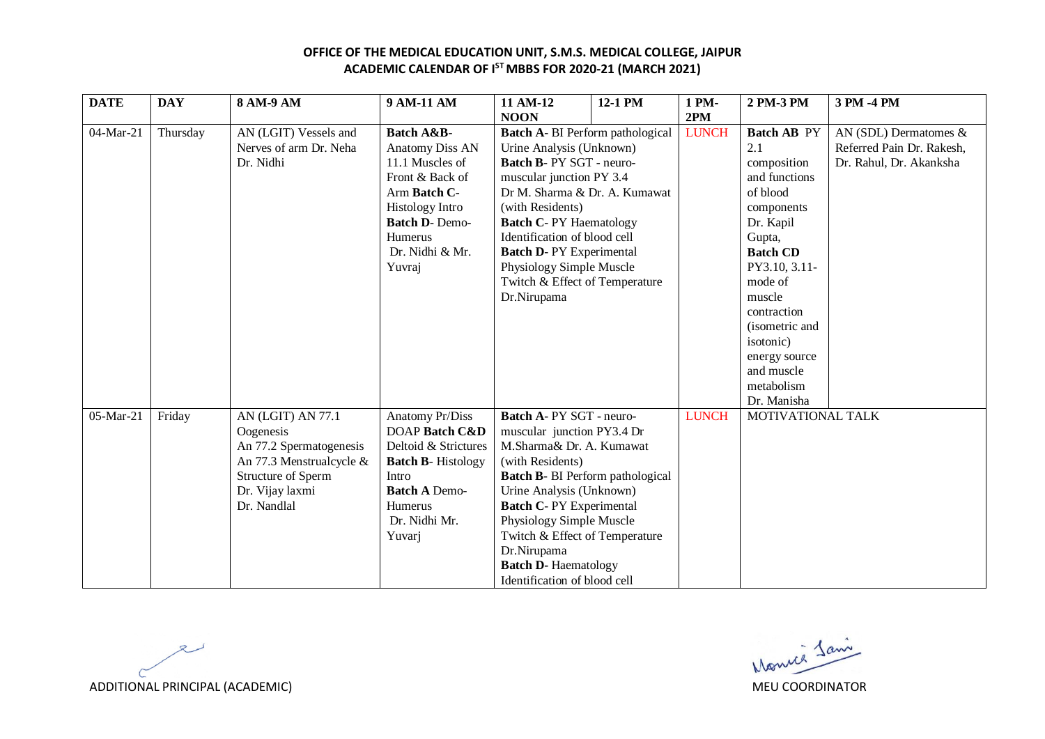| <b>DATE</b> | <b>DAY</b> | 8 AM-9 AM                | 9 AM-11 AM                | 11 AM-12                         | 12-1 PM | 1 PM-        | 2 PM-3 PM          | 3 PM -4 PM                |
|-------------|------------|--------------------------|---------------------------|----------------------------------|---------|--------------|--------------------|---------------------------|
|             |            |                          |                           | <b>NOON</b>                      | 2PM     |              |                    |                           |
| 04-Mar-21   | Thursday   | AN (LGIT) Vessels and    | <b>Batch A&amp;B-</b>     | Batch A-BI Perform pathological  |         | <b>LUNCH</b> | <b>Batch AB PY</b> | AN (SDL) Dermatomes $&$   |
|             |            | Nerves of arm Dr. Neha   | <b>Anatomy Diss AN</b>    | Urine Analysis (Unknown)         |         |              | 2.1                | Referred Pain Dr. Rakesh, |
|             |            | Dr. Nidhi                | 11.1 Muscles of           | Batch B- PY SGT - neuro-         |         |              | composition        | Dr. Rahul, Dr. Akanksha   |
|             |            |                          | Front & Back of           | muscular junction PY 3.4         |         |              | and functions      |                           |
|             |            |                          | Arm Batch C-              | Dr M. Sharma & Dr. A. Kumawat    |         |              | of blood           |                           |
|             |            |                          | <b>Histology Intro</b>    | (with Residents)                 |         |              | components         |                           |
|             |            |                          | <b>Batch D-Demo-</b>      | <b>Batch C-PY Haematology</b>    |         |              | Dr. Kapil          |                           |
|             |            |                          | Humerus                   | Identification of blood cell     |         |              | Gupta,             |                           |
|             |            |                          | Dr. Nidhi & Mr.           | <b>Batch D-PY Experimental</b>   |         |              | <b>Batch CD</b>    |                           |
|             |            |                          | Yuvraj                    | Physiology Simple Muscle         |         |              | PY3.10, 3.11-      |                           |
|             |            |                          |                           | Twitch & Effect of Temperature   |         |              | mode of            |                           |
|             |            |                          |                           | Dr.Nirupama                      |         |              | muscle             |                           |
|             |            |                          |                           |                                  |         |              | contraction        |                           |
|             |            |                          |                           |                                  |         |              | (isometric and     |                           |
|             |            |                          |                           |                                  |         |              | isotonic)          |                           |
|             |            |                          |                           |                                  |         |              | energy source      |                           |
|             |            |                          |                           |                                  |         |              | and muscle         |                           |
|             |            |                          |                           |                                  |         |              | metabolism         |                           |
|             |            |                          |                           |                                  |         |              | Dr. Manisha        |                           |
| 05-Mar-21   | Friday     | AN (LGIT) AN 77.1        | Anatomy Pr/Diss           | Batch A-PY SGT - neuro-          |         | <b>LUNCH</b> | MOTIVATIONAL TALK  |                           |
|             |            | Oogenesis                | <b>DOAP Batch C&amp;D</b> | muscular junction PY3.4 Dr       |         |              |                    |                           |
|             |            | An 77.2 Spermatogenesis  | Deltoid & Strictures      | M.Sharma& Dr. A. Kumawat         |         |              |                    |                           |
|             |            | An 77.3 Menstrualcycle & | <b>Batch B-Histology</b>  | (with Residents)                 |         |              |                    |                           |
|             |            | Structure of Sperm       | Intro                     | Batch B- BI Perform pathological |         |              |                    |                           |
|             |            | Dr. Vijay laxmi          | <b>Batch A Demo-</b>      | Urine Analysis (Unknown)         |         |              |                    |                           |
|             |            | Dr. Nandlal              | Humerus                   | <b>Batch C-PY Experimental</b>   |         |              |                    |                           |
|             |            |                          | Dr. Nidhi Mr.             | Physiology Simple Muscle         |         |              |                    |                           |
|             |            |                          | Yuvarj                    | Twitch & Effect of Temperature   |         |              |                    |                           |
|             |            |                          |                           | Dr.Nirupama                      |         |              |                    |                           |
|             |            |                          |                           | <b>Batch D-</b> Haematology      |         |              |                    |                           |
|             |            |                          |                           | Identification of blood cell     |         |              |                    |                           |

ADDITIONAL PRINCIPAL (ACADEMIC) AND ANNOUNCED AND ANNOUNCED AND MEU COORDINATOR

Monice Jami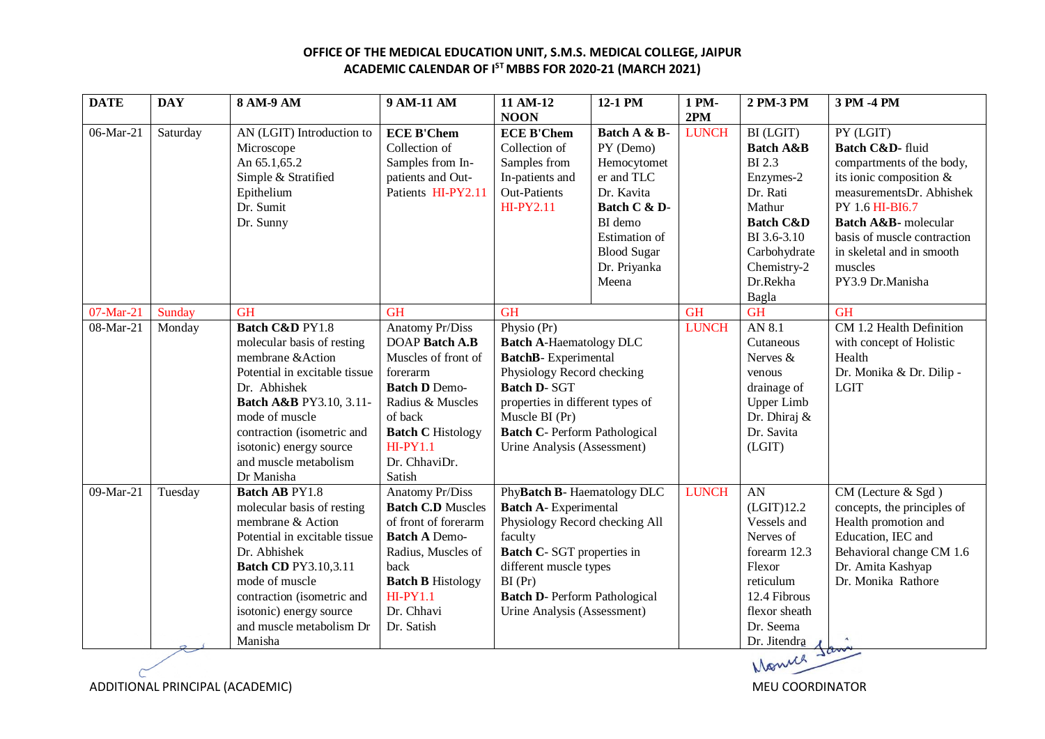| <b>DATE</b> | <b>DAY</b> | 8 AM-9 AM                          | 9 AM-11 AM               | 11 AM-12                            | 12-1 PM              | 1 PM-        | 2 PM-3 PM            | 3 PM -4 PM                  |
|-------------|------------|------------------------------------|--------------------------|-------------------------------------|----------------------|--------------|----------------------|-----------------------------|
|             |            |                                    |                          | <b>NOON</b>                         |                      | 2PM          |                      |                             |
| 06-Mar-21   | Saturday   | AN (LGIT) Introduction to          | <b>ECE B'Chem</b>        | <b>ECE B'Chem</b>                   | Batch A & B-         | <b>LUNCH</b> | BI (LGIT)            | PY (LGIT)                   |
|             |            | Microscope                         | Collection of            | Collection of                       | PY (Demo)            |              | <b>Batch A&amp;B</b> | Batch C&D- fluid            |
|             |            | An 65.1,65.2                       | Samples from In-         | Samples from                        | Hemocytomet          |              | <b>BI</b> 2.3        | compartments of the body,   |
|             |            | Simple & Stratified                | patients and Out-        | In-patients and                     | er and TLC           |              | Enzymes-2            | its ionic composition &     |
|             |            | Epithelium                         | Patients HI-PY2.11       | <b>Out-Patients</b>                 | Dr. Kavita           |              | Dr. Rati             | measurementsDr. Abhishek    |
|             |            | Dr. Sumit                          |                          | HI-PY2.11                           | Batch C & D-         |              | Mathur               | PY 1.6 HI-BI6.7             |
|             |            | Dr. Sunny                          |                          |                                     | BI demo              |              | <b>Batch C&amp;D</b> | Batch A&B- molecular        |
|             |            |                                    |                          |                                     | <b>Estimation</b> of |              | BI 3.6-3.10          | basis of muscle contraction |
|             |            |                                    |                          |                                     | <b>Blood Sugar</b>   |              | Carbohydrate         | in skeletal and in smooth   |
|             |            |                                    |                          |                                     | Dr. Priyanka         |              | Chemistry-2          | muscles                     |
|             |            |                                    |                          |                                     | Meena                |              | Dr.Rekha             | PY3.9 Dr.Manisha            |
|             |            |                                    |                          |                                     |                      |              | Bagla                |                             |
| 07-Mar-21   | Sunday     | <b>GH</b>                          | <b>GH</b>                | <b>GH</b>                           |                      | <b>GH</b>    | <b>GH</b>            | <b>GH</b>                   |
| 08-Mar-21   | Monday     | Batch C&D PY1.8                    | Anatomy Pr/Diss          | Physio (Pr)                         |                      | <b>LUNCH</b> | AN 8.1               | CM 1.2 Health Definition    |
|             |            | molecular basis of resting         | <b>DOAP Batch A.B</b>    | <b>Batch A-Haematology DLC</b>      |                      |              | Cutaneous            | with concept of Holistic    |
|             |            | membrane &Action                   | Muscles of front of      | <b>BatchB</b> - Experimental        |                      |              | Nerves &             | Health                      |
|             |            | Potential in excitable tissue      | forerarm                 | Physiology Record checking          |                      |              | venous               | Dr. Monika & Dr. Dilip -    |
|             |            | Dr. Abhishek                       | <b>Batch D Demo-</b>     | <b>Batch D-SGT</b>                  |                      |              | drainage of          | <b>LGIT</b>                 |
|             |            | <b>Batch A&amp;B PY3.10, 3.11-</b> | Radius & Muscles         | properties in different types of    |                      |              | <b>Upper Limb</b>    |                             |
|             |            | mode of muscle                     | of back                  | Muscle BI (Pr)                      |                      |              | Dr. Dhiraj &         |                             |
|             |            | contraction (isometric and         | <b>Batch C</b> Histology | <b>Batch C-Perform Pathological</b> |                      |              | Dr. Savita           |                             |
|             |            | isotonic) energy source            | $HI-PY1.1$               | Urine Analysis (Assessment)         |                      |              | (LGIT)               |                             |
|             |            | and muscle metabolism              | Dr. ChhaviDr.            |                                     |                      |              |                      |                             |
|             |            | Dr Manisha                         | Satish                   |                                     |                      |              |                      |                             |
| 09-Mar-21   | Tuesday    | <b>Batch AB PY1.8</b>              | Anatomy Pr/Diss          | PhyBatch B- Haematology DLC         |                      | <b>LUNCH</b> | AN                   | CM (Lecture & Sgd)          |
|             |            | molecular basis of resting         | <b>Batch C.D Muscles</b> | <b>Batch A-Experimental</b>         |                      |              | (LGIT)12.2           | concepts, the principles of |
|             |            | membrane & Action                  | of front of forerarm     | Physiology Record checking All      |                      |              | Vessels and          | Health promotion and        |
|             |            | Potential in excitable tissue      | <b>Batch A Demo-</b>     | faculty                             |                      |              | Nerves of            | Education, IEC and          |
|             |            | Dr. Abhishek                       | Radius, Muscles of       | <b>Batch C-SGT</b> properties in    |                      |              | forearm 12.3         | Behavioral change CM 1.6    |
|             |            | <b>Batch CD PY3.10,3.11</b>        | back                     | different muscle types              |                      |              | Flexor               | Dr. Amita Kashyap           |
|             |            | mode of muscle                     | <b>Batch B Histology</b> | $BI$ (Pr)                           |                      |              | reticulum            | Dr. Monika Rathore          |
|             |            | contraction (isometric and         | $HI-PY1.1$               | <b>Batch D-Perform Pathological</b> |                      |              | 12.4 Fibrous         |                             |
|             |            | isotonic) energy source            | Dr. Chhavi               | Urine Analysis (Assessment)         |                      |              | flexor sheath        |                             |
|             |            | and muscle metabolism Dr           | Dr. Satish               |                                     |                      |              | Dr. Seema            |                             |
|             |            | Manisha                            |                          |                                     |                      |              | Dr. Jitendra         | $\mathbb{R}$                |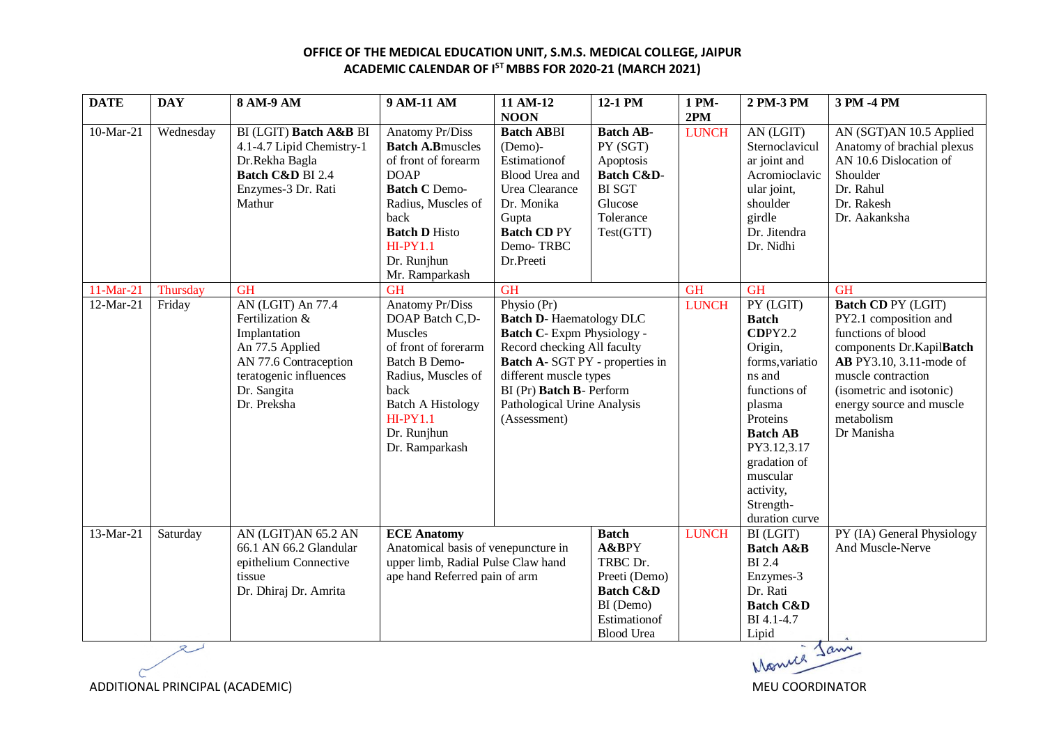| <b>DATE</b> | <b>DAY</b> | <b>8 AM-9 AM</b>                                                                                                                                         | 9 AM-11 AM                                                                                                                                                                                                    | 11 AM-12                                                                                                                                                                                                                                                | 12-1 PM                                                                                                                      | 1 PM-               | 2 PM-3 PM                                                                                                                                                                                                                    | 3 PM -4 PM                                                                                                                                                                                                                                       |
|-------------|------------|----------------------------------------------------------------------------------------------------------------------------------------------------------|---------------------------------------------------------------------------------------------------------------------------------------------------------------------------------------------------------------|---------------------------------------------------------------------------------------------------------------------------------------------------------------------------------------------------------------------------------------------------------|------------------------------------------------------------------------------------------------------------------------------|---------------------|------------------------------------------------------------------------------------------------------------------------------------------------------------------------------------------------------------------------------|--------------------------------------------------------------------------------------------------------------------------------------------------------------------------------------------------------------------------------------------------|
| 10-Mar-21   | Wednesday  | BI (LGIT) Batch A&B BI<br>4.1-4.7 Lipid Chemistry-1<br>Dr.Rekha Bagla<br>Batch C&D BI 2.4<br>Enzymes-3 Dr. Rati<br>Mathur                                | Anatomy Pr/Diss<br><b>Batch A.Bmuscles</b><br>of front of forearm<br><b>DOAP</b><br><b>Batch C Demo-</b><br>Radius, Muscles of<br>back<br><b>Batch D Histo</b><br>$HI-PY1.1$<br>Dr. Runjhun<br>Mr. Ramparkash | <b>NOON</b><br><b>Batch ABBI</b><br>(Demo)-<br>Estimationof<br><b>Blood Urea and</b><br>Urea Clearance<br>Dr. Monika<br>Gupta<br><b>Batch CD PY</b><br>Demo-TRBC<br>Dr.Preeti                                                                           | <b>Batch AB-</b><br>PY (SGT)<br>Apoptosis<br><b>Batch C&amp;D-</b><br><b>BI SGT</b><br>Glucose<br>Tolerance<br>Test(GTT)     | 2PM<br><b>LUNCH</b> | AN (LGIT)<br>Sternoclavicul<br>ar joint and<br>Acromioclavic<br>ular joint,<br>shoulder<br>girdle<br>Dr. Jitendra<br>Dr. Nidhi                                                                                               | AN (SGT)AN 10.5 Applied<br>Anatomy of brachial plexus<br>AN 10.6 Dislocation of<br>Shoulder<br>Dr. Rahul<br>Dr. Rakesh<br>Dr. Aakanksha                                                                                                          |
| 11-Mar-21   | Thursday   | <b>GH</b>                                                                                                                                                | <b>GH</b>                                                                                                                                                                                                     | <b>GH</b>                                                                                                                                                                                                                                               |                                                                                                                              | <b>GH</b>           | $\overline{GH}$                                                                                                                                                                                                              | <b>GH</b>                                                                                                                                                                                                                                        |
| 12-Mar-21   | Friday     | AN (LGIT) An 77.4<br>Fertilization &<br>Implantation<br>An 77.5 Applied<br>AN 77.6 Contraception<br>teratogenic influences<br>Dr. Sangita<br>Dr. Preksha | Anatomy Pr/Diss<br>DOAP Batch C,D-<br><b>Muscles</b><br>of front of forerarm<br>Batch B Demo-<br>Radius, Muscles of<br>back<br><b>Batch A Histology</b><br>$HI-PY1.1$<br>Dr. Runjhun<br>Dr. Ramparkash        | Physio (Pr)<br><b>Batch D-Haematology DLC</b><br><b>Batch C-Expm Physiology -</b><br>Record checking All faculty<br>Batch A-SGT PY - properties in<br>different muscle types<br>BI (Pr) Batch B- Perform<br>Pathological Urine Analysis<br>(Assessment) |                                                                                                                              | <b>LUNCH</b>        | PY (LGIT)<br><b>Batch</b><br>CDPY2.2<br>Origin,<br>forms, variatio<br>ns and<br>functions of<br>plasma<br>Proteins<br><b>Batch AB</b><br>PY3.12,3.17<br>gradation of<br>muscular<br>activity,<br>Strength-<br>duration curve | <b>Batch CD PY (LGIT)</b><br>PY2.1 composition and<br>functions of blood<br>components Dr.KapilBatch<br><b>AB</b> PY3.10, 3.11-mode of<br>muscle contraction<br>(isometric and isotonic)<br>energy source and muscle<br>metabolism<br>Dr Manisha |
| 13-Mar-21   | Saturday   | AN (LGIT)AN 65.2 AN<br>66.1 AN 66.2 Glandular<br>epithelium Connective<br>tissue<br>Dr. Dhiraj Dr. Amrita                                                | <b>ECE Anatomy</b><br>Anatomical basis of venepuncture in<br>upper limb, Radial Pulse Claw hand<br>ape hand Referred pain of arm                                                                              |                                                                                                                                                                                                                                                         | <b>Batch</b><br>A&BPY<br>TRBC Dr.<br>Preeti (Demo)<br><b>Batch C&amp;D</b><br>BI (Demo)<br>Estimationof<br><b>Blood Urea</b> | <b>LUNCH</b>        | BI (LGIT)<br><b>Batch A&amp;B</b><br><b>BI</b> 2.4<br>Enzymes-3<br>Dr. Rati<br><b>Batch C&amp;D</b><br>BI 4.1-4.7<br>Lipid                                                                                                   | PY (IA) General Physiology<br>And Muscle-Nerve                                                                                                                                                                                                   |

Monice Jami

ADDITIONAL PRINCIPAL (ACADEMIC) AND ANNOUNCED AND ANNOUNCED AND MEU COORDINATOR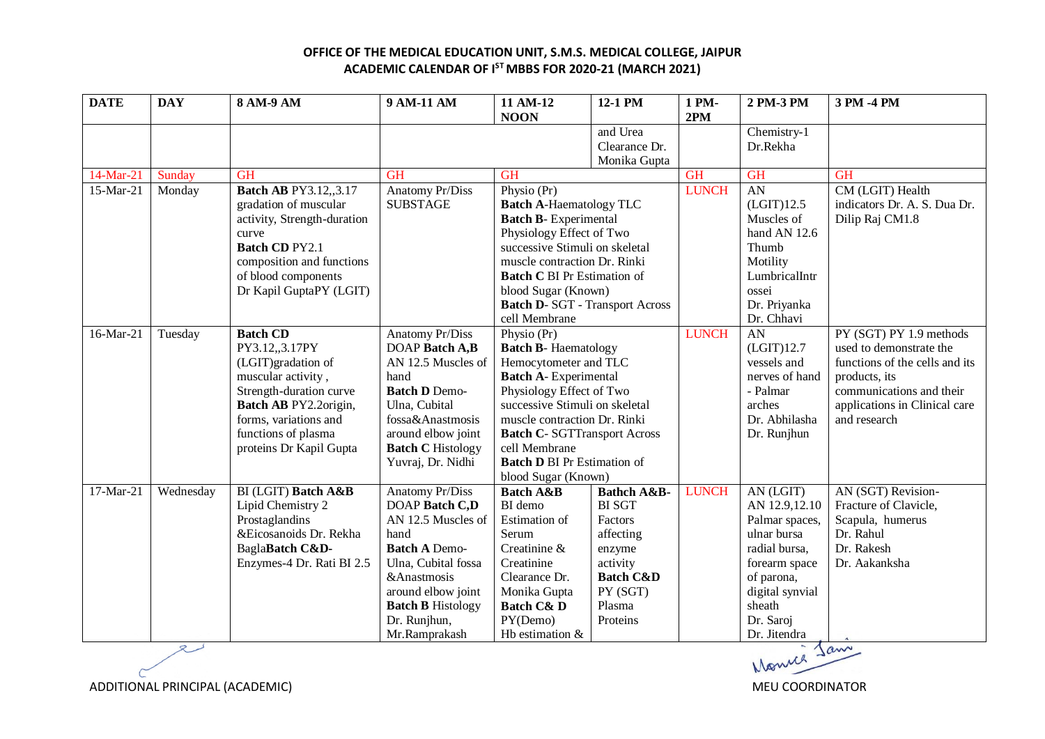| <b>DATE</b> | <b>DAY</b> | <b>8 AM-9 AM</b>                         | 9 AM-11 AM                        | 11 AM-12                              | 12-1 PM                      | 1 PM-        | 2 PM-3 PM                  | 3 PM -4 PM                                  |
|-------------|------------|------------------------------------------|-----------------------------------|---------------------------------------|------------------------------|--------------|----------------------------|---------------------------------------------|
|             |            |                                          |                                   | <b>NOON</b>                           |                              | 2PM          |                            |                                             |
|             |            |                                          |                                   |                                       | and Urea                     |              | Chemistry-1                |                                             |
|             |            |                                          |                                   |                                       | Clearance Dr.                |              | Dr.Rekha                   |                                             |
|             |            |                                          |                                   |                                       | Monika Gupta                 |              |                            |                                             |
| 14-Mar-21   | Sunday     | <b>GH</b>                                | <b>GH</b>                         | <b>GH</b>                             |                              | <b>GH</b>    | <b>GH</b>                  | <b>GH</b>                                   |
| 15-Mar-21   | Monday     | <b>Batch AB PY3.12,,3.17</b>             | Anatomy Pr/Diss                   | Physio (Pr)                           |                              | <b>LUNCH</b> | AN                         | CM (LGIT) Health                            |
|             |            | gradation of muscular                    | <b>SUBSTAGE</b>                   | <b>Batch A-Haematology TLC</b>        |                              |              | (LGIT)12.5                 | indicators Dr. A. S. Dua Dr.                |
|             |            | activity, Strength-duration              |                                   | <b>Batch B-</b> Experimental          |                              |              | Muscles of                 | Dilip Raj CM1.8                             |
|             |            | curve                                    |                                   | Physiology Effect of Two              |                              |              | hand AN 12.6               |                                             |
|             |            | <b>Batch CD PY2.1</b>                    |                                   | successive Stimuli on skeletal        |                              |              | Thumb                      |                                             |
|             |            | composition and functions                |                                   | muscle contraction Dr. Rinki          |                              |              | Motility                   |                                             |
|             |            | of blood components                      |                                   | <b>Batch C BI Pr Estimation of</b>    |                              |              | LumbricalIntr              |                                             |
|             |            | Dr Kapil GuptaPY (LGIT)                  |                                   | blood Sugar (Known)                   |                              |              | ossei                      |                                             |
|             |            |                                          |                                   | <b>Batch D-SGT - Transport Across</b> |                              |              | Dr. Priyanka               |                                             |
|             |            |                                          |                                   | cell Membrane                         |                              |              | Dr. Chhavi                 |                                             |
| 16-Mar-21   | Tuesday    | <b>Batch CD</b>                          | Anatomy Pr/Diss                   | Physio (Pr)                           |                              | <b>LUNCH</b> | $\overline{AN}$            | PY (SGT) PY 1.9 methods                     |
|             |            | PY3.12,,3.17PY                           | DOAP Batch A,B                    | <b>Batch B-</b> Haematology           |                              |              | (LGIT)12.7                 | used to demonstrate the                     |
|             |            | (LGIT)gradation of                       | AN 12.5 Muscles of                | Hemocytometer and TLC                 |                              |              | vessels and                | functions of the cells and its              |
|             |            | muscular activity,                       | hand                              | <b>Batch A-Experimental</b>           |                              |              | nerves of hand             | products, its                               |
|             |            | Strength-duration curve                  | <b>Batch D Demo-</b>              | Physiology Effect of Two              |                              |              | - Palmar                   | communications and their                    |
|             |            | Batch AB PY2.2origin,                    | Ulna, Cubital                     | successive Stimuli on skeletal        |                              |              | arches                     | applications in Clinical care               |
|             |            | forms, variations and                    | fossa&Anastmosis                  | muscle contraction Dr. Rinki          |                              |              | Dr. Abhilasha              | and research                                |
|             |            | functions of plasma                      | around elbow joint                | <b>Batch C-SGTTransport Across</b>    |                              |              | Dr. Runjhun                |                                             |
|             |            | proteins Dr Kapil Gupta                  | <b>Batch C</b> Histology          | cell Membrane                         |                              |              |                            |                                             |
|             |            |                                          | Yuvraj, Dr. Nidhi                 | <b>Batch D BI Pr Estimation of</b>    |                              |              |                            |                                             |
|             |            |                                          |                                   | blood Sugar (Known)                   |                              |              |                            |                                             |
| 17-Mar-21   | Wednesday  | BI (LGIT) Batch A&B<br>Lipid Chemistry 2 | Anatomy Pr/Diss<br>DOAP Batch C,D | <b>Batch A&amp;B</b><br>BI demo       | Bathch A&B-<br><b>BI SGT</b> | <b>LUNCH</b> | AN (LGIT)<br>AN 12.9,12.10 | AN (SGT) Revision-<br>Fracture of Clavicle, |
|             |            | Prostaglandins                           | AN 12.5 Muscles of                | <b>Estimation</b> of                  | Factors                      |              | Palmar spaces,             | Scapula, humerus                            |
|             |            | &Eicosanoids Dr. Rekha                   | hand                              | Serum                                 | affecting                    |              | ulnar bursa                | Dr. Rahul                                   |
|             |            | BaglaBatch C&D-                          | <b>Batch A Demo-</b>              | Creatinine &                          | enzyme                       |              | radial bursa,              | Dr. Rakesh                                  |
|             |            | Enzymes-4 Dr. Rati BI 2.5                | Ulna, Cubital fossa               | Creatinine                            | activity                     |              | forearm space              | Dr. Aakanksha                               |
|             |            |                                          | &Anastmosis                       | Clearance Dr.                         | <b>Batch C&amp;D</b>         |              | of parona,                 |                                             |
|             |            |                                          | around elbow joint                | Monika Gupta                          | PY (SGT)                     |              | digital synvial            |                                             |
|             |            |                                          | <b>Batch B Histology</b>          | <b>Batch C&amp; D</b>                 | Plasma                       |              | sheath                     |                                             |
|             |            |                                          | Dr. Runjhun,                      | PY(Demo)                              | Proteins                     |              | Dr. Saroj                  |                                             |
|             |            |                                          | Mr.Ramprakash                     | Hb estimation $&$                     |                              |              | Dr. Jitendra               |                                             |

ADDITIONAL PRINCIPAL (ACADEMIC) AND ANNOUNCED AND ANNOUNCED AND MEU COORDINATOR

Nomice Jami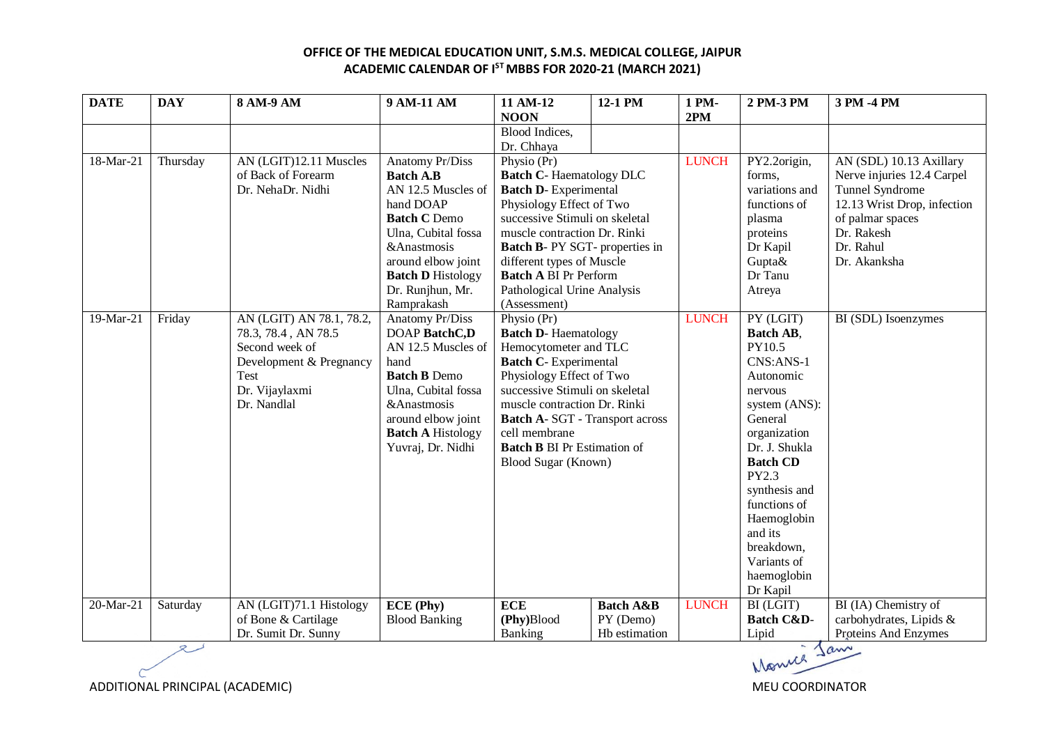| <b>DATE</b> | <b>DAY</b> | <b>8 AM-9 AM</b>         | 9 AM-11 AM               | 11 AM-12                              | 12-1 PM              | 1 PM-        | 2 PM-3 PM                     | 3 PM -4 PM                        |
|-------------|------------|--------------------------|--------------------------|---------------------------------------|----------------------|--------------|-------------------------------|-----------------------------------|
|             |            |                          |                          | <b>NOON</b>                           |                      | 2PM          |                               |                                   |
|             |            |                          |                          | Blood Indices,                        |                      |              |                               |                                   |
|             |            |                          |                          | Dr. Chhaya                            |                      |              |                               |                                   |
| 18-Mar-21   | Thursday   | AN (LGIT)12.11 Muscles   | Anatomy Pr/Diss          | Physio (Pr)                           |                      | <b>LUNCH</b> | PY2.2origin,                  | AN (SDL) 10.13 Axillary           |
|             |            | of Back of Forearm       | <b>Batch A.B</b>         | <b>Batch C-Haematology DLC</b>        |                      |              | forms.                        | Nerve injuries 12.4 Carpel        |
|             |            | Dr. NehaDr. Nidhi        | AN 12.5 Muscles of       | <b>Batch D-Experimental</b>           |                      |              | variations and                | Tunnel Syndrome                   |
|             |            |                          | hand DOAP                | Physiology Effect of Two              |                      |              | functions of                  | 12.13 Wrist Drop, infection       |
|             |            |                          | <b>Batch C</b> Demo      | successive Stimuli on skeletal        |                      |              | plasma                        | of palmar spaces                  |
|             |            |                          | Ulna, Cubital fossa      | muscle contraction Dr. Rinki          |                      |              | proteins                      | Dr. Rakesh                        |
|             |            |                          | &Anastmosis              | <b>Batch B-PY SGT-</b> properties in  |                      |              | Dr Kapil                      | Dr. Rahul                         |
|             |            |                          | around elbow joint       | different types of Muscle             |                      |              | Gupta&                        | Dr. Akanksha                      |
|             |            |                          | <b>Batch D Histology</b> | <b>Batch A BI Pr Perform</b>          |                      |              | Dr Tanu                       |                                   |
|             |            |                          | Dr. Runjhun, Mr.         | Pathological Urine Analysis           |                      |              | Atreya                        |                                   |
|             |            |                          | Ramprakash               | (Assessment)                          |                      |              |                               |                                   |
| 19-Mar-21   | Friday     | AN (LGIT) AN 78.1, 78.2, | Anatomy Pr/Diss          | Physio (Pr)                           |                      | <b>LUNCH</b> | PY (LGIT)                     | BI (SDL) Isoenzymes               |
|             |            | 78.3, 78.4, AN 78.5      | DOAP BatchC,D            | <b>Batch D-Haematology</b>            |                      |              | Batch AB,                     |                                   |
|             |            | Second week of           | AN 12.5 Muscles of       | Hemocytometer and TLC                 |                      |              | PY10.5                        |                                   |
|             |            | Development & Pregnancy  | hand                     | <b>Batch C-</b> Experimental          |                      |              | CNS:ANS-1                     |                                   |
|             |            | Test                     | <b>Batch B Demo</b>      | Physiology Effect of Two              |                      |              | Autonomic                     |                                   |
|             |            | Dr. Vijaylaxmi           | Ulna, Cubital fossa      | successive Stimuli on skeletal        |                      |              | nervous                       |                                   |
|             |            | Dr. Nandlal              | &Anastmosis              | muscle contraction Dr. Rinki          |                      |              | system (ANS):                 |                                   |
|             |            |                          | around elbow joint       | <b>Batch A-SGT - Transport across</b> |                      |              | General                       |                                   |
|             |            |                          | <b>Batch A Histology</b> | cell membrane                         |                      |              | organization                  |                                   |
|             |            |                          | Yuvraj, Dr. Nidhi        | <b>Batch B BI Pr Estimation of</b>    |                      |              | Dr. J. Shukla                 |                                   |
|             |            |                          |                          | Blood Sugar (Known)                   |                      |              | <b>Batch CD</b>               |                                   |
|             |            |                          |                          |                                       |                      |              | PY2.3                         |                                   |
|             |            |                          |                          |                                       |                      |              | synthesis and<br>functions of |                                   |
|             |            |                          |                          |                                       |                      |              |                               |                                   |
|             |            |                          |                          |                                       |                      |              | Haemoglobin<br>and its        |                                   |
|             |            |                          |                          |                                       |                      |              | breakdown,                    |                                   |
|             |            |                          |                          |                                       |                      |              | Variants of                   |                                   |
|             |            |                          |                          |                                       |                      |              | haemoglobin                   |                                   |
|             |            |                          |                          |                                       |                      |              | Dr Kapil                      |                                   |
| 20-Mar-21   | Saturday   | AN (LGIT)71.1 Histology  | <b>ECE</b> (Phy)         | <b>ECE</b>                            | <b>Batch A&amp;B</b> | <b>LUNCH</b> | BI (LGIT)                     | $\overline{BI}$ (IA) Chemistry of |
|             |            | of Bone & Cartilage      | <b>Blood Banking</b>     | (Phy)Blood                            | PY (Demo)            |              | <b>Batch C&amp;D-</b>         | carbohydrates, Lipids &           |
|             |            | Dr. Sumit Dr. Sunny      |                          | Banking                               | Hb estimation        |              | Lipid                         | Proteins And Enzymes              |
|             |            |                          |                          |                                       |                      |              |                               |                                   |

ADDITIONAL PRINCIPAL (ACADEMIC) AND ANNOUNCED AND ANNOUNCED AND MEU COORDINATOR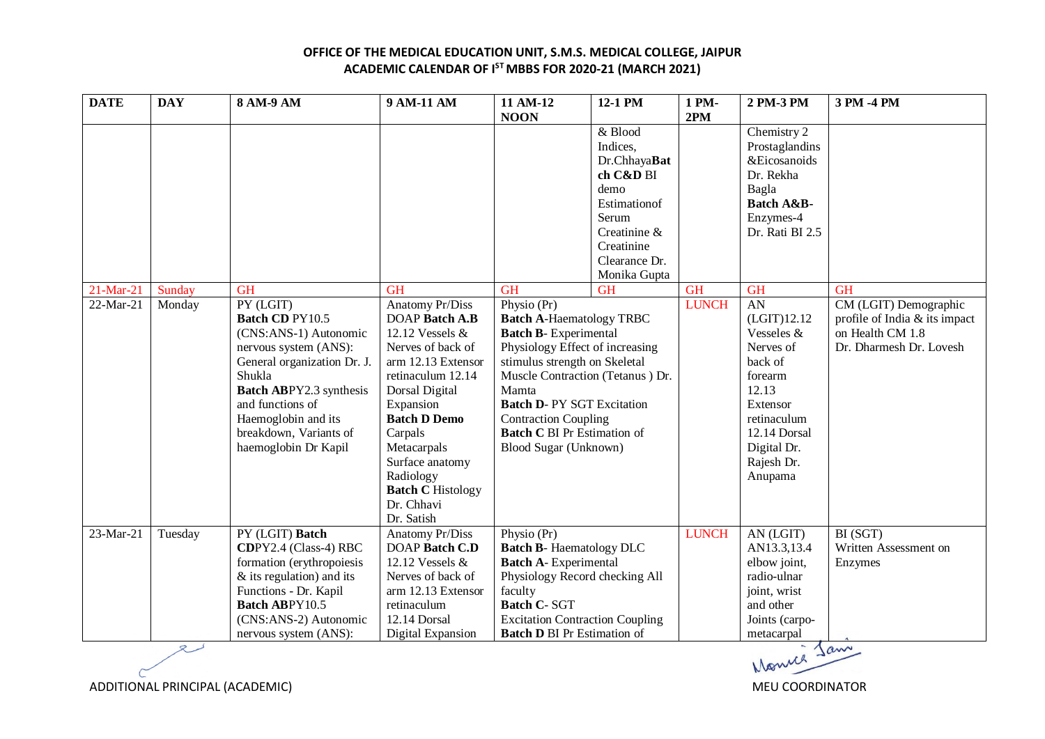| <b>DATE</b> | <b>DAY</b> | <b>8 AM-9 AM</b>               | 9 AM-11 AM               | 11 AM-12                               | 12-1 PM       | 1 PM-        | 2 PM-3 PM       | 3 PM -4 PM                    |
|-------------|------------|--------------------------------|--------------------------|----------------------------------------|---------------|--------------|-----------------|-------------------------------|
|             |            |                                |                          | <b>NOON</b>                            |               | 2PM          |                 |                               |
|             |            |                                |                          |                                        | & Blood       |              | Chemistry 2     |                               |
|             |            |                                |                          |                                        | Indices,      |              | Prostaglandins  |                               |
|             |            |                                |                          |                                        | Dr.ChhayaBat  |              | &Eicosanoids    |                               |
|             |            |                                |                          |                                        | ch C&D BI     |              | Dr. Rekha       |                               |
|             |            |                                |                          |                                        | demo          |              | Bagla           |                               |
|             |            |                                |                          |                                        | Estimationof  |              | Batch A&B-      |                               |
|             |            |                                |                          |                                        | Serum         |              | Enzymes-4       |                               |
|             |            |                                |                          |                                        | Creatinine &  |              | Dr. Rati BI 2.5 |                               |
|             |            |                                |                          |                                        | Creatinine    |              |                 |                               |
|             |            |                                |                          |                                        | Clearance Dr. |              |                 |                               |
|             |            |                                |                          |                                        | Monika Gupta  |              |                 |                               |
| $21-Mar-21$ | Sunday     | <b>GH</b>                      | <b>GH</b>                | <b>GH</b>                              | <b>GH</b>     | <b>GH</b>    | <b>GH</b>       | <b>GH</b>                     |
| 22-Mar-21   | Monday     | PY (LGIT)                      | Anatomy Pr/Diss          | Physio (Pr)                            |               | <b>LUNCH</b> | $\overline{AN}$ | CM (LGIT) Demographic         |
|             |            | <b>Batch CD PY10.5</b>         | DOAP Batch A.B           | <b>Batch A-Haematology TRBC</b>        |               |              | (LGIT)12.12     | profile of India & its impact |
|             |            | (CNS:ANS-1) Autonomic          | 12.12 Vessels $&$        | <b>Batch B-</b> Experimental           |               |              | Vesseles &      | on Health CM 1.8              |
|             |            | nervous system (ANS):          | Nerves of back of        | Physiology Effect of increasing        |               |              | Nerves of       | Dr. Dharmesh Dr. Lovesh       |
|             |            | General organization Dr. J.    | arm 12.13 Extensor       | stimulus strength on Skeletal          |               |              | back of         |                               |
|             |            | Shukla                         | retinaculum 12.14        | Muscle Contraction (Tetanus ) Dr.      |               |              | forearm         |                               |
|             |            | <b>Batch ABPY2.3</b> synthesis | Dorsal Digital           | Mamta                                  |               |              | 12.13           |                               |
|             |            | and functions of               | Expansion                | <b>Batch D-PY SGT Excitation</b>       |               |              | Extensor        |                               |
|             |            | Haemoglobin and its            | <b>Batch D Demo</b>      | <b>Contraction Coupling</b>            |               |              | retinaculum     |                               |
|             |            | breakdown, Variants of         | Carpals                  | <b>Batch C BI Pr Estimation of</b>     |               |              | 12.14 Dorsal    |                               |
|             |            | haemoglobin Dr Kapil           | Metacarpals              | Blood Sugar (Unknown)                  |               |              | Digital Dr.     |                               |
|             |            |                                | Surface anatomy          |                                        |               |              | Rajesh Dr.      |                               |
|             |            |                                | Radiology                |                                        |               |              | Anupama         |                               |
|             |            |                                | <b>Batch C</b> Histology |                                        |               |              |                 |                               |
|             |            |                                | Dr. Chhavi               |                                        |               |              |                 |                               |
|             |            |                                | Dr. Satish               |                                        |               |              |                 |                               |
| 23-Mar-21   | Tuesday    | PY (LGIT) Batch                | Anatomy Pr/Diss          | Physio (Pr)                            |               | <b>LUNCH</b> | AN (LGIT)       | BI (SGT)                      |
|             |            | CDPY2.4 (Class-4) RBC          | <b>DOAP Batch C.D</b>    | <b>Batch B-</b> Haematology DLC        |               |              | AN13.3,13.4     | Written Assessment on         |
|             |            | formation (erythropoiesis      | 12.12 Vessels &          | <b>Batch A-Experimental</b>            |               |              | elbow joint,    | Enzymes                       |
|             |            | & its regulation) and its      | Nerves of back of        | Physiology Record checking All         |               |              | radio-ulnar     |                               |
|             |            | Functions - Dr. Kapil          | arm 12.13 Extensor       | faculty                                |               |              | joint, wrist    |                               |
|             |            | <b>Batch ABPY10.5</b>          | retinaculum              | <b>Batch C-SGT</b>                     |               |              | and other       |                               |
|             |            | (CNS:ANS-2) Autonomic          | 12.14 Dorsal             | <b>Excitation Contraction Coupling</b> |               |              | Joints (carpo-  |                               |
|             |            | nervous system (ANS):          | Digital Expansion        | <b>Batch D BI Pr Estimation of</b>     |               |              | metacarpal      |                               |

Monice Jami

ADDITIONAL PRINCIPAL (ACADEMIC) AND ANNOUNCED AND ANNOUNCED AND MEU COORDINATOR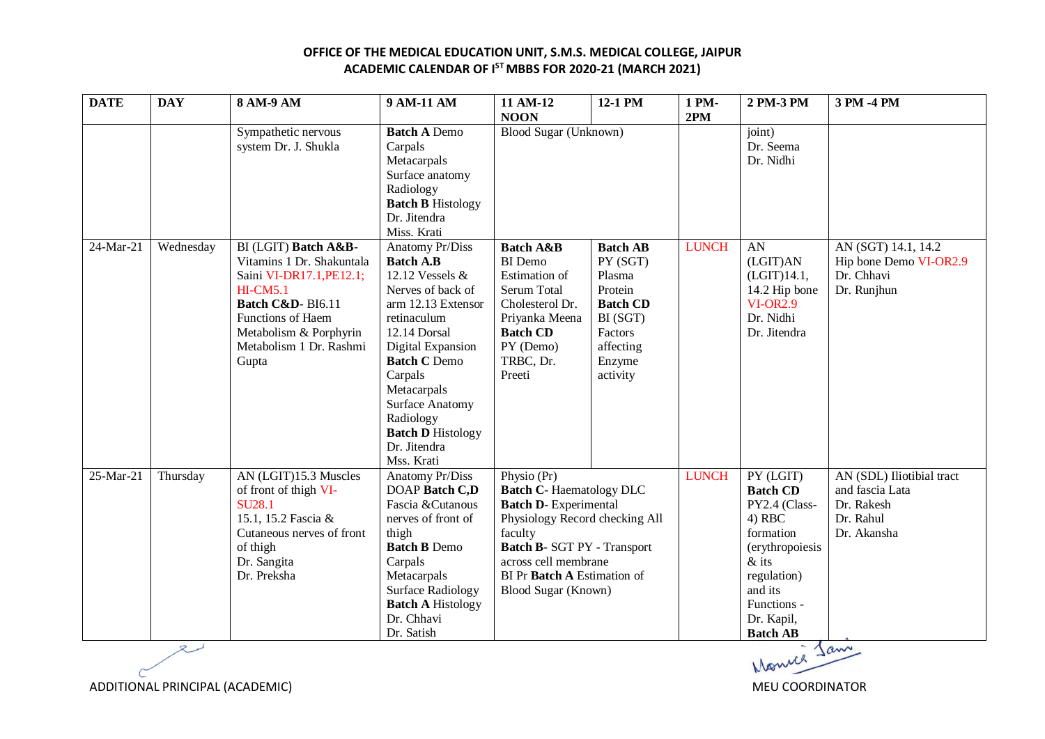| <b>DATE</b> | <b>DAY</b> | <b>8 AM-9 AM</b>                                                                                                                                                                                        | 9 AM-11 AM                                                                                                                                                                                                                                                                                              | 11 AM-12<br><b>NOON</b>                                                                                                                                                                                                                      | 12-1 PM                                                                                                                       | 1 PM-<br>2PM | 2 PM-3 PM                                                                                                                                                                      | 3 PM -4 PM                                                                             |
|-------------|------------|---------------------------------------------------------------------------------------------------------------------------------------------------------------------------------------------------------|---------------------------------------------------------------------------------------------------------------------------------------------------------------------------------------------------------------------------------------------------------------------------------------------------------|----------------------------------------------------------------------------------------------------------------------------------------------------------------------------------------------------------------------------------------------|-------------------------------------------------------------------------------------------------------------------------------|--------------|--------------------------------------------------------------------------------------------------------------------------------------------------------------------------------|----------------------------------------------------------------------------------------|
|             |            | Sympathetic nervous<br>system Dr. J. Shukla                                                                                                                                                             | <b>Batch A Demo</b><br>Carpals<br>Metacarpals<br>Surface anatomy<br>Radiology<br><b>Batch B Histology</b><br>Dr. Jitendra<br>Miss. Krati                                                                                                                                                                | Blood Sugar (Unknown)                                                                                                                                                                                                                        |                                                                                                                               |              | joint)<br>Dr. Seema<br>Dr. Nidhi                                                                                                                                               |                                                                                        |
| 24-Mar-21   | Wednesday  | BI (LGIT) Batch A&B-<br>Vitamins 1 Dr. Shakuntala<br>Saini VI-DR17.1, PE12.1;<br><b>HI-CM5.1</b><br>Batch C&D-BI6.11<br>Functions of Haem<br>Metabolism & Porphyrin<br>Metabolism 1 Dr. Rashmi<br>Gupta | Anatomy Pr/Diss<br><b>Batch A.B</b><br>12.12 Vessels &<br>Nerves of back of<br>arm 12.13 Extensor<br>retinaculum<br>12.14 Dorsal<br>Digital Expansion<br><b>Batch C</b> Demo<br>Carpals<br>Metacarpals<br><b>Surface Anatomy</b><br>Radiology<br><b>Batch D Histology</b><br>Dr. Jitendra<br>Mss. Krati | <b>Batch A&amp;B</b><br><b>BI</b> Demo<br>Estimation of<br>Serum Total<br>Cholesterol Dr.<br>Priyanka Meena<br><b>Batch CD</b><br>PY (Demo)<br>TRBC, Dr.<br>Preeti                                                                           | <b>Batch AB</b><br>PY (SGT)<br>Plasma<br>Protein<br><b>Batch CD</b><br>BI (SGT)<br>Factors<br>affecting<br>Enzyme<br>activity | <b>LUNCH</b> | AN<br>(LGIT)AN<br>(LGIT)14.1,<br>14.2 Hip bone<br><b>VI-OR2.9</b><br>Dr. Nidhi<br>Dr. Jitendra                                                                                 | AN (SGT) 14.1, 14.2<br>Hip bone Demo VI-OR2.9<br>Dr. Chhavi<br>Dr. Runjhun             |
| 25-Mar-21   | Thursday   | AN (LGIT)15.3 Muscles<br>of front of thigh VI-<br><b>SU28.1</b><br>15.1, 15.2 Fascia &<br>Cutaneous nerves of front<br>of thigh<br>Dr. Sangita<br>Dr. Preksha                                           | Anatomy Pr/Diss<br>DOAP Batch C,D<br>Fascia &Cutanous<br>nerves of front of<br>thigh<br><b>Batch B Demo</b><br>Carpals<br>Metacarpals<br><b>Surface Radiology</b><br><b>Batch A Histology</b><br>Dr. Chhavi<br>Dr. Satish                                                                               | Physio (Pr)<br><b>Batch C-Haematology DLC</b><br><b>Batch D-Experimental</b><br>Physiology Record checking All<br>faculty<br><b>Batch B-SGT PY - Transport</b><br>across cell membrane<br>BI Pr Batch A Estimation of<br>Blood Sugar (Known) |                                                                                                                               | <b>LUNCH</b> | PY (LGIT)<br><b>Batch CD</b><br>$PY2.4$ (Class-<br>4) RBC<br>formation<br>(erythropoiesis<br>$&$ its<br>regulation)<br>and its<br>Functions -<br>Dr. Kapil,<br><b>Batch AB</b> | AN (SDL) Iliotibial tract<br>and fascia Lata<br>Dr. Rakesh<br>Dr. Rahul<br>Dr. Akansha |

ADDITIONAL PRINCIPAL (ACADEMIC) AND ANNOUNCED AND ANNOUNCED AND MEU COORDINATOR

Monice Jam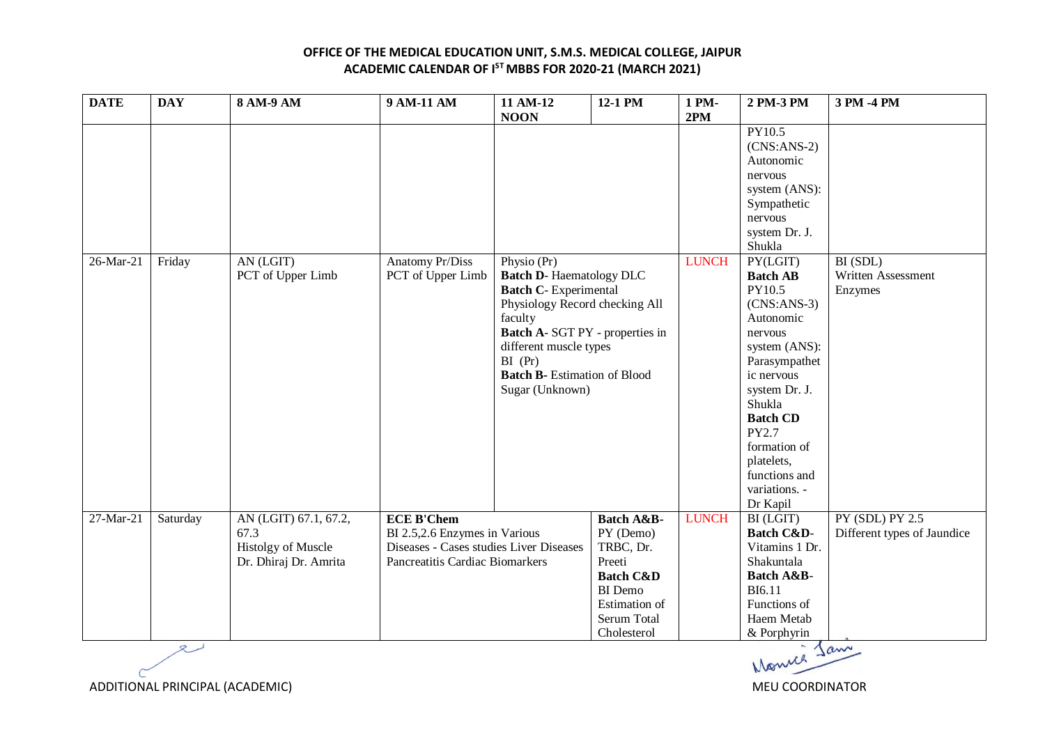| <b>DATE</b> | <b>DAY</b> | <b>8 AM-9 AM</b>          | 9 AM-11 AM                              | 11 AM-12                            | 12-1 PM              | 1 PM-        | 2 PM-3 PM                | 3 PM -4 PM                  |
|-------------|------------|---------------------------|-----------------------------------------|-------------------------------------|----------------------|--------------|--------------------------|-----------------------------|
|             |            |                           |                                         | <b>NOON</b>                         |                      | 2PM          |                          |                             |
|             |            |                           |                                         |                                     |                      |              | PY10.5                   |                             |
|             |            |                           |                                         |                                     |                      |              | $(CNS:ANS-2)$            |                             |
|             |            |                           |                                         |                                     |                      |              | Autonomic                |                             |
|             |            |                           |                                         |                                     |                      |              | nervous                  |                             |
|             |            |                           |                                         |                                     |                      |              | system (ANS):            |                             |
|             |            |                           |                                         |                                     |                      |              | Sympathetic              |                             |
|             |            |                           |                                         |                                     |                      |              | nervous                  |                             |
|             |            |                           |                                         |                                     |                      |              | system Dr. J.            |                             |
|             |            |                           |                                         |                                     |                      |              | Shukla                   |                             |
| 26-Mar-21   | Friday     | AN (LGIT)                 | Anatomy Pr/Diss                         | Physio (Pr)                         |                      | <b>LUNCH</b> | PY(LGIT)                 | BI(SDL)                     |
|             |            | PCT of Upper Limb         | PCT of Upper Limb                       | <b>Batch D-Haematology DLC</b>      |                      |              | <b>Batch AB</b>          | Written Assessment          |
|             |            |                           |                                         | <b>Batch C-Experimental</b>         |                      |              | PY10.5                   | Enzymes                     |
|             |            |                           |                                         | Physiology Record checking All      |                      |              | $(CNS:ANS-3)$            |                             |
|             |            |                           |                                         | faculty                             |                      |              | Autonomic                |                             |
|             |            |                           |                                         | Batch A-SGT PY - properties in      |                      |              | nervous                  |                             |
|             |            |                           |                                         | different muscle types              |                      |              | system (ANS):            |                             |
|             |            |                           |                                         | $BI$ $(Pr)$                         |                      |              | Parasympathet            |                             |
|             |            |                           |                                         | <b>Batch B-</b> Estimation of Blood |                      |              | ic nervous               |                             |
|             |            |                           |                                         | Sugar (Unknown)                     |                      |              | system Dr. J.            |                             |
|             |            |                           |                                         |                                     |                      |              | Shukla                   |                             |
|             |            |                           |                                         |                                     |                      |              | <b>Batch CD</b><br>PY2.7 |                             |
|             |            |                           |                                         |                                     |                      |              | formation of             |                             |
|             |            |                           |                                         |                                     |                      |              | platelets,               |                             |
|             |            |                           |                                         |                                     |                      |              | functions and            |                             |
|             |            |                           |                                         |                                     |                      |              | variations. -            |                             |
|             |            |                           |                                         |                                     |                      |              | Dr Kapil                 |                             |
| 27-Mar-21   | Saturday   | AN (LGIT) 67.1, 67.2,     | <b>ECE B'Chem</b>                       |                                     | Batch A&B-           | <b>LUNCH</b> | BI (LGIT)                | $PY$ (SDL) $PY$ 2.5         |
|             |            | 67.3                      | BI 2.5,2.6 Enzymes in Various           |                                     | PY (Demo)            |              | Batch C&D-               | Different types of Jaundice |
|             |            | <b>Histolgy of Muscle</b> | Diseases - Cases studies Liver Diseases |                                     | TRBC, Dr.            |              | Vitamins 1 Dr.           |                             |
|             |            | Dr. Dhiraj Dr. Amrita     | Pancreatitis Cardiac Biomarkers         |                                     | Preeti               |              | Shakuntala               |                             |
|             |            |                           |                                         |                                     | <b>Batch C&amp;D</b> |              | Batch A&B-               |                             |
|             |            |                           |                                         |                                     | <b>BI</b> Demo       |              | <b>BI6.11</b>            |                             |
|             |            |                           |                                         |                                     | Estimation of        |              | Functions of             |                             |
|             |            |                           |                                         |                                     | Serum Total          |              | Haem Metab               |                             |
|             |            |                           |                                         |                                     | Cholesterol          |              | & Porphyrin              |                             |

ADDITIONAL PRINCIPAL (ACADEMIC) AND ANNOUNCED AND ANNOUNCED AND MEU COORDINATOR

Monice Jam